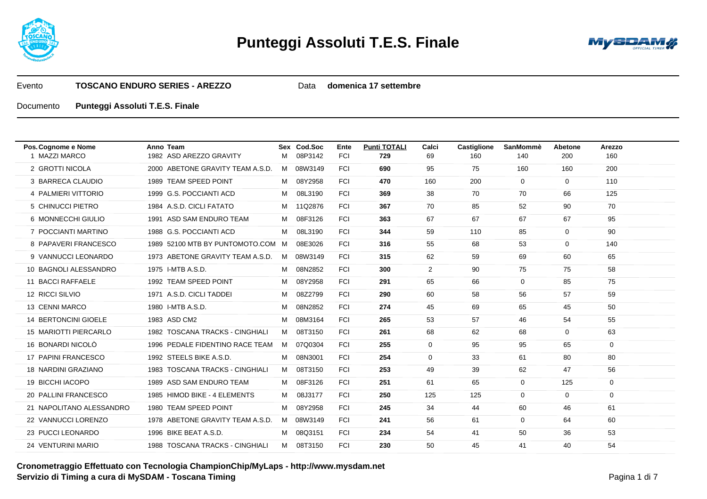



Data **domenica 17 settembre**

| Pos. Cognome e Nome         | Anno Team                         |   | Sex Cod.Soc | Ente       | <b>Punti TOTALI</b> | Calci          | <b>Castiglione</b> | SanMommè     | Abetone      | Arezzo |
|-----------------------------|-----------------------------------|---|-------------|------------|---------------------|----------------|--------------------|--------------|--------------|--------|
| 1 MAZZI MARCO               | 1982 ASD AREZZO GRAVITY           | м | 08P3142     | <b>FCI</b> | 729                 | 69             | 160                | 140          | 200          | 160    |
| 2 GROTTI NICOLA             | 2000 ABETONE GRAVITY TEAM A.S.D.  |   | M 08W3149   | <b>FCI</b> | 690                 | 95             | 75                 | 160          | 160          | 200    |
| 3 BARRECA CLAUDIO           | 1989 TEAM SPEED POINT             | M | 08Y2958     | <b>FCI</b> | 470                 | 160            | 200                | $\mathbf{0}$ | $\mathbf{0}$ | 110    |
| 4 PALMIERI VITTORIO         | 1999 G.S. POCCIANTI ACD           | M | 08L3190     | <b>FCI</b> | 369                 | 38             | 70                 | 70           | 66           | 125    |
| 5 CHINUCCI PIETRO           | 1984 A.S.D. CICLI FATATO          |   | M 11Q2876   | <b>FCI</b> | 367                 | 70             | 85                 | 52           | 90           | 70     |
| 6 MONNECCHI GIULIO          | 1991 ASD SAM ENDURO TEAM          | M | 08F3126     | <b>FCI</b> | 363                 | 67             | 67                 | 67           | 67           | 95     |
| 7 POCCIANTI MARTINO         | 1988 G.S. POCCIANTI ACD           | м | 08L3190     | <b>FCI</b> | 344                 | 59             | 110                | 85           | $\mathbf{0}$ | 90     |
| 8 PAPAVERI FRANCESCO        | 1989 52100 MTB BY PUNTOMOTO.COM M |   | 08E3026     | <b>FCI</b> | 316                 | 55             | 68                 | 53           | $\mathbf{0}$ | 140    |
| 9 VANNUCCI LEONARDO         | 1973 ABETONE GRAVITY TEAM A.S.D.  | M | 08W3149     | <b>FCI</b> | 315                 | 62             | 59                 | 69           | 60           | 65     |
| 10 BAGNOLI ALESSANDRO       | 1975 I-MTB A.S.D.                 | M | 08N2852     | <b>FCI</b> | 300                 | $\overline{2}$ | 90                 | 75           | 75           | 58     |
| 11 BACCI RAFFAELE           | 1992 TEAM SPEED POINT             | м | 08Y2958     | <b>FCI</b> | 291                 | 65             | 66                 | $\mathbf 0$  | 85           | 75     |
| 12 RICCI SILVIO             | 1971 A.S.D. CICLI TADDEI          | M | 08Z2799     | <b>FCI</b> | 290                 | 60             | 58                 | 56           | 57           | 59     |
| 13 CENNI MARCO              | 1980 I-MTB A.S.D.                 | M | 08N2852     | <b>FCI</b> | 274                 | 45             | 69                 | 65           | 45           | 50     |
| <b>14 BERTONCINI GIOELE</b> | 1983 ASD CM2                      | M | 08M3164     | <b>FCI</b> | 265                 | 53             | 57                 | 46           | 54           | 55     |
| 15 MARIOTTI PIERCARLO       | 1982 TOSCANA TRACKS - CINGHIALI   | M | 08T3150     | <b>FCI</b> | 261                 | 68             | 62                 | 68           | $\mathbf{0}$ | 63     |
| 16 BONARDI NICOLÒ           | 1996 PEDALE FIDENTINO RACE TEAM   | M | 07Q0304     | <b>FCI</b> | 255                 | $\mathbf 0$    | 95                 | 95           | 65           | 0      |
| 17 PAPINI FRANCESCO         | 1992 STEELS BIKE A.S.D.           | м | 08N3001     | <b>FCI</b> | 254                 | 0              | 33                 | 61           | 80           | 80     |
| 18 NARDINI GRAZIANO         | 1983 TOSCANA TRACKS - CINGHIALI   | M | 08T3150     | <b>FCI</b> | 253                 | 49             | 39                 | 62           | 47           | 56     |
| 19 BICCHI IACOPO            | 1989 ASD SAM ENDURO TEAM          | M | 08F3126     | <b>FCI</b> | 251                 | 61             | 65                 | $\mathbf 0$  | 125          | 0      |
| 20 PALLINI FRANCESCO        | 1985 HIMOD BIKE - 4 ELEMENTS      | M | 08J3177     | <b>FCI</b> | 250                 | 125            | 125                | $\mathbf 0$  | $\mathbf{0}$ | 0      |
| 21 NAPOLITANO ALESSANDRO    | 1980 TEAM SPEED POINT             | м | 08Y2958     | <b>FCI</b> | 245                 | 34             | 44                 | 60           | 46           | 61     |
| 22 VANNUCCI LORENZO         | 1978 ABETONE GRAVITY TEAM A.S.D.  | M | 08W3149     | <b>FCI</b> | 241                 | 56             | 61                 | $\mathbf{0}$ | 64           | 60     |
| 23 PUCCI LEONARDO           | 1996 BIKE BEAT A.S.D.             | M | 08Q3151     | <b>FCI</b> | 234                 | 54             | 41                 | 50           | 36           | 53     |
| 24 VENTURINI MARIO          | 1988 TOSCANA TRACKS - CINGHIALI   | M | 08T3150     | <b>FCI</b> | 230                 | 50             | 45                 | 41           | 40           | 54     |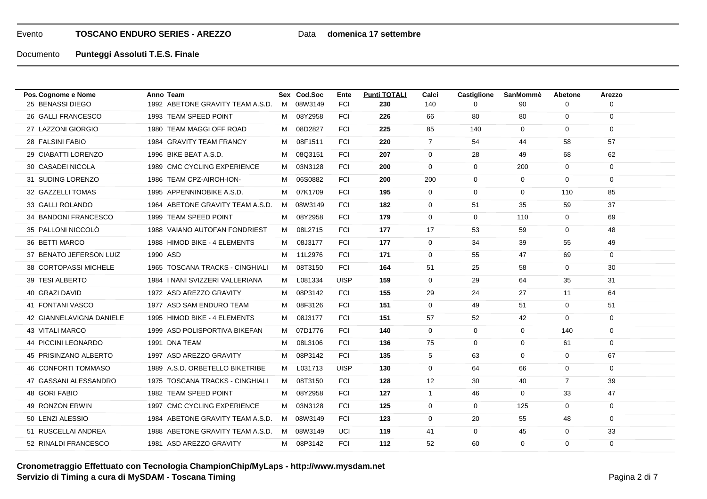## Data **domenica 17 settembre**

| Pos. Cognome e Nome      | Anno Team                        |   | Sex Cod.Soc | Ente        | <b>Punti TOTALI</b> | Calci          | <b>Castiglione</b> | <b>SanMommè</b> | Abetone        | Arezzo      |  |
|--------------------------|----------------------------------|---|-------------|-------------|---------------------|----------------|--------------------|-----------------|----------------|-------------|--|
| 25 BENASSI DIEGO         | 1992 ABETONE GRAVITY TEAM A.S.D. |   | M 08W3149   | <b>FCI</b>  | 230                 | 140            | ∩                  | 90              | 0              | 0           |  |
| 26 GALLI FRANCESCO       | 1993 TEAM SPEED POINT            | M | 08Y2958     | <b>FCI</b>  | 226                 | 66             | 80                 | 80              | $\mathbf 0$    | 0           |  |
| 27 LAZZONI GIORGIO       | 1980 TEAM MAGGI OFF ROAD         | M | 08D2827     | <b>FCI</b>  | 225                 | 85             | 140                | $\mathbf{0}$    | $\mathbf 0$    | $\mathbf 0$ |  |
| 28 FALSINI FABIO         | 1984 GRAVITY TEAM FRANCY         | M | 08F1511     | <b>FCI</b>  | 220                 | $\overline{7}$ | 54                 | 44              | 58             | 57          |  |
| 29 CIABATTI LORENZO      | 1996 BIKE BEAT A.S.D.            | м | 08Q3151     | <b>FCI</b>  | 207                 | $\mathbf 0$    | 28                 | 49              | 68             | 62          |  |
| 30 CASADEI NICOLA        | 1989 CMC CYCLING EXPERIENCE      | M | 03N3128     | <b>FCI</b>  | 200                 | $\mathbf 0$    | 0                  | 200             | $\overline{0}$ | 0           |  |
| 31 SUDING LORENZO        | 1986 TEAM CPZ-AIROH-ION-         | м | 06S0882     | <b>FCI</b>  | 200                 | 200            | 0                  | $\mathbf 0$     | $\mathbf 0$    | $\mathbf 0$ |  |
| 32 GAZZELLI TOMAS        | 1995 APPENNINOBIKE A.S.D.        | м | 07K1709     | <b>FCI</b>  | 195                 | $\overline{0}$ | 0                  | $\mathbf{0}$    | 110            | 85          |  |
| 33 GALLI ROLANDO         | 1964 ABETONE GRAVITY TEAM A.S.D. | M | 08W3149     | FCI         | 182                 | $\mathbf 0$    | 51                 | 35              | 59             | 37          |  |
| 34 BANDONI FRANCESCO     | 1999 TEAM SPEED POINT            | м | 08Y2958     | <b>FCI</b>  | 179                 | $\mathbf 0$    | 0                  | 110             | $\mathbf{0}$   | 69          |  |
| 35 PALLONI NICCOLÒ       | 1988 VAIANO AUTOFAN FONDRIEST    | M | 08L2715     | <b>FCI</b>  | 177                 | 17             | 53                 | 59              | $\mathbf 0$    | 48          |  |
| 36 BETTI MARCO           | 1988 HIMOD BIKE - 4 ELEMENTS     | M | 08J3177     | <b>FCI</b>  | 177                 | $\mathbf 0$    | 34                 | 39              | 55             | 49          |  |
| 37 BENATO JEFERSON LUIZ  | 1990 ASD                         |   | M 11L2976   | <b>FCI</b>  | 171                 | $\mathbf 0$    | 55                 | 47              | 69             | $\mathbf 0$ |  |
| 38 CORTOPASSI MICHELE    | 1965 TOSCANA TRACKS - CINGHIALI  | M | 08T3150     | <b>FCI</b>  | 164                 | 51             | 25                 | 58              | $\overline{0}$ | 30          |  |
| 39 TESI ALBERTO          | 1984   NANI SVIZZERI VALLERIANA  | M | L081334     | <b>UISP</b> | 159                 | $\mathbf 0$    | 29                 | 64              | 35             | 31          |  |
| 40 GRAZI DAVID           | 1972 ASD AREZZO GRAVITY          | м | 08P3142     | <b>FCI</b>  | 155                 | 29             | 24                 | 27              | 11             | 64          |  |
| 41 FONTANI VASCO         | 1977 ASD SAM ENDURO TEAM         | м | 08F3126     | <b>FCI</b>  | 151                 | $\mathbf 0$    | 49                 | 51              | $\overline{0}$ | 51          |  |
| 42 GIANNELAVIGNA DANIELE | 1995 HIMOD BIKE - 4 ELEMENTS     | M | 08J3177     | <b>FCI</b>  | 151                 | 57             | 52                 | 42              | $\mathbf 0$    | 0           |  |
| 43 VITALI MARCO          | 1999 ASD POLISPORTIVA BIKEFAN    | M | 07D1776     | <b>FCI</b>  | 140                 | $\overline{0}$ | 0                  | 0               | 140            | 0           |  |
| 44 PICCINI LEONARDO      | 1991 DNA TEAM                    | M | 08L3106     | <b>FCI</b>  | 136                 | 75             | 0                  | $\mathbf{0}$    | 61             | $\mathbf 0$ |  |
| 45 PRISINZANO ALBERTO    | 1997 ASD AREZZO GRAVITY          | м | 08P3142     | <b>FCI</b>  | 135                 | 5              | 63                 | $\mathbf{0}$    | $\mathbf{0}$   | 67          |  |
| 46 CONFORTI TOMMASO      | 1989 A.S.D. ORBETELLO BIKETRIBE  | м | L031713     | <b>UISP</b> | 130                 | $\mathbf 0$    | 64                 | 66              | $\mathbf 0$    | $\mathbf 0$ |  |
| 47 GASSANI ALESSANDRO    | 1975 TOSCANA TRACKS - CINGHIALI  | M | 08T3150     | <b>FCI</b>  | 128                 | 12             | 30                 | 40              | $\overline{7}$ | 39          |  |
| 48 GORI FABIO            | 1982 TEAM SPEED POINT            | м | 08Y2958     | <b>FCI</b>  | 127                 | $\mathbf{1}$   | 46                 | $\mathbf{0}$    | 33             | 47          |  |
| 49 RONZON ERWIN          | 1997 CMC CYCLING EXPERIENCE      | м | 03N3128     | <b>FCI</b>  | 125                 | $\mathbf 0$    | 0                  | 125             | $\mathbf 0$    | $\mathbf 0$ |  |
| 50 LENZI ALESSIO         | 1984 ABETONE GRAVITY TEAM A.S.D. | M | 08W3149     | <b>FCI</b>  | 123                 | $\mathbf 0$    | 20                 | 55              | 48             | 0           |  |
| 51 RUSCELLAI ANDREA      | 1988 ABETONE GRAVITY TEAM A.S.D. | M | 08W3149     | UCI         | 119                 | 41             | 0                  | 45              | $\mathbf 0$    | 33          |  |
| 52 RINALDI FRANCESCO     | 1981 ASD AREZZO GRAVITY          |   | M 08P3142   | <b>FCI</b>  | 112                 | 52             | 60                 | $\mathbf 0$     | $\mathbf 0$    | $\mathbf 0$ |  |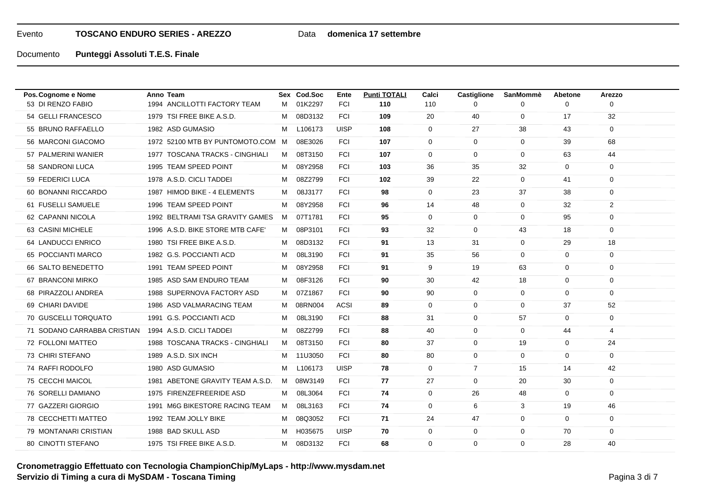## Data **domenica 17 settembre**

Documento**Punteggi Assoluti T.E.S. Finale**

| M 01K2297<br>1994 ANCILLOTTI FACTORY TEAM<br><b>FCI</b><br>110<br>110<br>$\mathbf 0$<br>0<br>$\Omega$<br>$\Omega$<br>54 GELLI FRANCESCO<br>1979 TSI FREE BIKE A.S.D.<br>08D3132<br>109<br>20<br>40<br>$\mathbf 0$<br>32<br>FCI<br>17<br>M<br>55 BRUNO RAFFAELLO<br>1982 ASD GUMASIO<br>$\mathbf 0$<br>L106173<br><b>UISP</b><br>108<br>$\mathbf{0}$<br>27<br>38<br>43<br>м<br>08E3026<br>56 MARCONI GIACOMO<br>1972 52100 MTB BY PUNTOMOTO.COM M<br><b>FCI</b><br>107<br>$\mathbf{0}$<br>$\mathbf{0}$<br>$\mathbf 0$<br>39<br>68<br>57 PALMERINI WANIER<br>1977 TOSCANA TRACKS - CINGHIALI<br>08T3150<br><b>FCI</b><br>107<br>$\mathbf 0$<br>$\mathbf 0$<br>$\mathbf 0$<br>44<br>м<br>63<br>58 SANDRONI LUCA<br>1995 TEAM SPEED POINT<br>08Y2958<br><b>FCI</b><br>103<br>36<br>35<br>32<br>$\mathbf{0}$<br>0<br>M<br>59 FEDERICI LUCA<br>1978 A.S.D. CICLI TADDEI<br>08Z2799<br><b>FCI</b><br>102<br>39<br>22<br>$\mathbf 0$<br>41<br>$\mathbf 0$<br>м<br>60 BONANNI RICCARDO<br>1987 HIMOD BIKE - 4 ELEMENTS<br>08J3177<br><b>FCI</b><br>$\mathbf 0$<br>98<br>$\mathbf{0}$<br>23<br>37<br>38<br>м<br>2<br>61 FUSELLI SAMUELE<br>1996 TEAM SPEED POINT<br>08Y2958<br><b>FCI</b><br>96<br>14<br>48<br>0<br>32<br>м<br>62 CAPANNI NICOLA<br>1992 BELTRAMI TSA GRAVITY GAMES<br>07T1781<br><b>FCI</b><br>95<br>$\mathbf 0$<br>$\mathbf 0$<br>95<br>$\mathbf 0$<br>M<br>0<br>63 CASINI MICHELE<br>1996 A.S.D. BIKE STORE MTB CAFE<br>M 08P3101<br><b>FCI</b><br>32<br>$\mathbf 0$<br>$\mathbf 0$<br>93<br>43<br>18<br>64 LANDUCCI ENRICO<br>1980 TSI FREE BIKE A.S.D.<br>08D3132<br><b>FCI</b><br>91<br>13<br>31<br>$\mathbf 0$<br>29<br>18<br>м<br>65 POCCIANTI MARCO<br>1982 G.S. POCCIANTI ACD<br>08L3190<br><b>FCI</b><br>56<br>91<br>35<br>$\mathbf 0$<br>$\mathbf 0$<br>0<br>м<br>66 SALTO BENEDETTO<br>1991 TEAM SPEED POINT<br>08Y2958<br><b>FCI</b><br>91<br>9<br>19<br>63<br>0<br>м<br>$\overline{0}$<br>67 BRANCONI MIRKO<br>1985 ASD SAM ENDURO TEAM<br>08F3126<br><b>FCI</b><br>30<br>42<br>$\mathbf 0$<br>м<br>90<br>18<br>$\mathbf 0$<br><b>FCI</b><br>90<br>$\mathbf 0$<br>68 PIRAZZOLI ANDREA<br>1988 SUPERNOVA FACTORY ASD<br>07Z1867<br>90<br>0<br>0<br>$\mathbf 0$<br>M<br>69 CHIARI DAVIDE<br>1986 ASD VALMARACING TEAM<br>08RN004<br><b>ACSI</b><br>89<br>$\mathbf 0$<br>$\mathbf 0$<br>$\mathbf 0$<br>52<br>37<br>M<br>70 GUSCELLI TORQUATO<br>1991 G.S. POCCIANTI ACD<br>08L3190<br><b>FCI</b><br>88<br>31<br>0<br>57<br>$\mathbf 0$<br>0<br>м<br>08Z2799<br>71 SODANO CARRABBA CRISTIAN<br>1994 A.S.D. CICLI TADDEI<br><b>FCI</b><br>88<br>40<br>$\mathbf 0$<br>$\mathbf 0$<br>44<br>4<br>М<br>72 FOLLONI MATTEO<br>1988 TOSCANA TRACKS - CINGHIALI<br>08T3150<br><b>FCI</b><br>80<br>37<br>0<br>19<br>24<br>M<br>$\mathbf 0$<br>73 CHIRI STEFANO<br><b>FCI</b><br>80<br>1989 A.S.D. SIX INCH<br>M 11U3050<br>80<br>$\mathbf 0$<br>$\mathbf 0$<br>$\mathbf 0$<br>0<br>$\overline{7}$<br>74 RAFFI RODOLFO<br>1980 ASD GUMASIO<br>L106173<br><b>UISP</b><br>78<br>$\mathbf 0$<br>15<br>42<br>м<br>14<br>75 CECCHI MAICOL<br>1981 ABETONE GRAVITY TEAM A.S.D.<br>27<br>$\mathbf 0$<br>M 08W3149<br><b>FCI</b><br>77<br>0<br>20<br>30<br>1975 FIRENZEFREERIDE ASD<br>76 SORELLI DAMIANO<br>08L3064<br><b>FCI</b><br>74<br>$\mathbf 0$<br>26<br>48<br>$\mathbf 0$<br>$\mathbf 0$<br>M<br>77 GAZZERI GIORGIO<br>1991 M6G BIKESTORE RACING TEAM<br>08L3163<br><b>FCI</b><br>74<br>$\mathbf{0}$<br>6<br>3<br>46<br>M<br>19<br>78 CECCHETTI MATTEO<br>1992 TEAM JOLLY BIKE<br>08Q3052<br><b>FCI</b><br>71<br>24<br>47<br>0<br>$\mathbf 0$<br>0<br>м<br>79 MONTANARI CRISTIAN<br>1988 BAD SKULL ASD<br>H035675<br><b>UISP</b><br>70<br>$\mathbf 0$<br>0<br>М<br>0<br>0<br>70<br>1975 TSI FREE BIKE A.S.D.<br><b>FCI</b><br>$\mathbf 0$<br>$\mathbf 0$<br>80 CINOTTI STEFANO<br>M 08D3132<br>68<br>$\Omega$<br>28<br>40 | Pos. Cognome e Nome | Anno Team | Sex Cod.Soc | Ente | <b>Punti TOTALI</b> | Calci | <b>Castiglione</b> | SanMommè | <b>Abetone</b> | Arezzo |  |
|-----------------------------------------------------------------------------------------------------------------------------------------------------------------------------------------------------------------------------------------------------------------------------------------------------------------------------------------------------------------------------------------------------------------------------------------------------------------------------------------------------------------------------------------------------------------------------------------------------------------------------------------------------------------------------------------------------------------------------------------------------------------------------------------------------------------------------------------------------------------------------------------------------------------------------------------------------------------------------------------------------------------------------------------------------------------------------------------------------------------------------------------------------------------------------------------------------------------------------------------------------------------------------------------------------------------------------------------------------------------------------------------------------------------------------------------------------------------------------------------------------------------------------------------------------------------------------------------------------------------------------------------------------------------------------------------------------------------------------------------------------------------------------------------------------------------------------------------------------------------------------------------------------------------------------------------------------------------------------------------------------------------------------------------------------------------------------------------------------------------------------------------------------------------------------------------------------------------------------------------------------------------------------------------------------------------------------------------------------------------------------------------------------------------------------------------------------------------------------------------------------------------------------------------------------------------------------------------------------------------------------------------------------------------------------------------------------------------------------------------------------------------------------------------------------------------------------------------------------------------------------------------------------------------------------------------------------------------------------------------------------------------------------------------------------------------------------------------------------------------------------------------------------------------------------------------------------------------------------------------------------------------------------------------------------------------------------------------------------------------------------------------------------------------------------------------------------------------------------------------------------------------------------------------------------------------------------------------------------------------------------------------------------------------------------------------------------------------------------------------------------------------------------------------------------------------------------------|---------------------|-----------|-------------|------|---------------------|-------|--------------------|----------|----------------|--------|--|
|                                                                                                                                                                                                                                                                                                                                                                                                                                                                                                                                                                                                                                                                                                                                                                                                                                                                                                                                                                                                                                                                                                                                                                                                                                                                                                                                                                                                                                                                                                                                                                                                                                                                                                                                                                                                                                                                                                                                                                                                                                                                                                                                                                                                                                                                                                                                                                                                                                                                                                                                                                                                                                                                                                                                                                                                                                                                                                                                                                                                                                                                                                                                                                                                                                                                                                                                                                                                                                                                                                                                                                                                                                                                                                                                                                                                                                   | 53 DI RENZO FABIO   |           |             |      |                     |       |                    |          |                |        |  |
|                                                                                                                                                                                                                                                                                                                                                                                                                                                                                                                                                                                                                                                                                                                                                                                                                                                                                                                                                                                                                                                                                                                                                                                                                                                                                                                                                                                                                                                                                                                                                                                                                                                                                                                                                                                                                                                                                                                                                                                                                                                                                                                                                                                                                                                                                                                                                                                                                                                                                                                                                                                                                                                                                                                                                                                                                                                                                                                                                                                                                                                                                                                                                                                                                                                                                                                                                                                                                                                                                                                                                                                                                                                                                                                                                                                                                                   |                     |           |             |      |                     |       |                    |          |                |        |  |
|                                                                                                                                                                                                                                                                                                                                                                                                                                                                                                                                                                                                                                                                                                                                                                                                                                                                                                                                                                                                                                                                                                                                                                                                                                                                                                                                                                                                                                                                                                                                                                                                                                                                                                                                                                                                                                                                                                                                                                                                                                                                                                                                                                                                                                                                                                                                                                                                                                                                                                                                                                                                                                                                                                                                                                                                                                                                                                                                                                                                                                                                                                                                                                                                                                                                                                                                                                                                                                                                                                                                                                                                                                                                                                                                                                                                                                   |                     |           |             |      |                     |       |                    |          |                |        |  |
|                                                                                                                                                                                                                                                                                                                                                                                                                                                                                                                                                                                                                                                                                                                                                                                                                                                                                                                                                                                                                                                                                                                                                                                                                                                                                                                                                                                                                                                                                                                                                                                                                                                                                                                                                                                                                                                                                                                                                                                                                                                                                                                                                                                                                                                                                                                                                                                                                                                                                                                                                                                                                                                                                                                                                                                                                                                                                                                                                                                                                                                                                                                                                                                                                                                                                                                                                                                                                                                                                                                                                                                                                                                                                                                                                                                                                                   |                     |           |             |      |                     |       |                    |          |                |        |  |
|                                                                                                                                                                                                                                                                                                                                                                                                                                                                                                                                                                                                                                                                                                                                                                                                                                                                                                                                                                                                                                                                                                                                                                                                                                                                                                                                                                                                                                                                                                                                                                                                                                                                                                                                                                                                                                                                                                                                                                                                                                                                                                                                                                                                                                                                                                                                                                                                                                                                                                                                                                                                                                                                                                                                                                                                                                                                                                                                                                                                                                                                                                                                                                                                                                                                                                                                                                                                                                                                                                                                                                                                                                                                                                                                                                                                                                   |                     |           |             |      |                     |       |                    |          |                |        |  |
|                                                                                                                                                                                                                                                                                                                                                                                                                                                                                                                                                                                                                                                                                                                                                                                                                                                                                                                                                                                                                                                                                                                                                                                                                                                                                                                                                                                                                                                                                                                                                                                                                                                                                                                                                                                                                                                                                                                                                                                                                                                                                                                                                                                                                                                                                                                                                                                                                                                                                                                                                                                                                                                                                                                                                                                                                                                                                                                                                                                                                                                                                                                                                                                                                                                                                                                                                                                                                                                                                                                                                                                                                                                                                                                                                                                                                                   |                     |           |             |      |                     |       |                    |          |                |        |  |
|                                                                                                                                                                                                                                                                                                                                                                                                                                                                                                                                                                                                                                                                                                                                                                                                                                                                                                                                                                                                                                                                                                                                                                                                                                                                                                                                                                                                                                                                                                                                                                                                                                                                                                                                                                                                                                                                                                                                                                                                                                                                                                                                                                                                                                                                                                                                                                                                                                                                                                                                                                                                                                                                                                                                                                                                                                                                                                                                                                                                                                                                                                                                                                                                                                                                                                                                                                                                                                                                                                                                                                                                                                                                                                                                                                                                                                   |                     |           |             |      |                     |       |                    |          |                |        |  |
|                                                                                                                                                                                                                                                                                                                                                                                                                                                                                                                                                                                                                                                                                                                                                                                                                                                                                                                                                                                                                                                                                                                                                                                                                                                                                                                                                                                                                                                                                                                                                                                                                                                                                                                                                                                                                                                                                                                                                                                                                                                                                                                                                                                                                                                                                                                                                                                                                                                                                                                                                                                                                                                                                                                                                                                                                                                                                                                                                                                                                                                                                                                                                                                                                                                                                                                                                                                                                                                                                                                                                                                                                                                                                                                                                                                                                                   |                     |           |             |      |                     |       |                    |          |                |        |  |
|                                                                                                                                                                                                                                                                                                                                                                                                                                                                                                                                                                                                                                                                                                                                                                                                                                                                                                                                                                                                                                                                                                                                                                                                                                                                                                                                                                                                                                                                                                                                                                                                                                                                                                                                                                                                                                                                                                                                                                                                                                                                                                                                                                                                                                                                                                                                                                                                                                                                                                                                                                                                                                                                                                                                                                                                                                                                                                                                                                                                                                                                                                                                                                                                                                                                                                                                                                                                                                                                                                                                                                                                                                                                                                                                                                                                                                   |                     |           |             |      |                     |       |                    |          |                |        |  |
|                                                                                                                                                                                                                                                                                                                                                                                                                                                                                                                                                                                                                                                                                                                                                                                                                                                                                                                                                                                                                                                                                                                                                                                                                                                                                                                                                                                                                                                                                                                                                                                                                                                                                                                                                                                                                                                                                                                                                                                                                                                                                                                                                                                                                                                                                                                                                                                                                                                                                                                                                                                                                                                                                                                                                                                                                                                                                                                                                                                                                                                                                                                                                                                                                                                                                                                                                                                                                                                                                                                                                                                                                                                                                                                                                                                                                                   |                     |           |             |      |                     |       |                    |          |                |        |  |
|                                                                                                                                                                                                                                                                                                                                                                                                                                                                                                                                                                                                                                                                                                                                                                                                                                                                                                                                                                                                                                                                                                                                                                                                                                                                                                                                                                                                                                                                                                                                                                                                                                                                                                                                                                                                                                                                                                                                                                                                                                                                                                                                                                                                                                                                                                                                                                                                                                                                                                                                                                                                                                                                                                                                                                                                                                                                                                                                                                                                                                                                                                                                                                                                                                                                                                                                                                                                                                                                                                                                                                                                                                                                                                                                                                                                                                   |                     |           |             |      |                     |       |                    |          |                |        |  |
|                                                                                                                                                                                                                                                                                                                                                                                                                                                                                                                                                                                                                                                                                                                                                                                                                                                                                                                                                                                                                                                                                                                                                                                                                                                                                                                                                                                                                                                                                                                                                                                                                                                                                                                                                                                                                                                                                                                                                                                                                                                                                                                                                                                                                                                                                                                                                                                                                                                                                                                                                                                                                                                                                                                                                                                                                                                                                                                                                                                                                                                                                                                                                                                                                                                                                                                                                                                                                                                                                                                                                                                                                                                                                                                                                                                                                                   |                     |           |             |      |                     |       |                    |          |                |        |  |
|                                                                                                                                                                                                                                                                                                                                                                                                                                                                                                                                                                                                                                                                                                                                                                                                                                                                                                                                                                                                                                                                                                                                                                                                                                                                                                                                                                                                                                                                                                                                                                                                                                                                                                                                                                                                                                                                                                                                                                                                                                                                                                                                                                                                                                                                                                                                                                                                                                                                                                                                                                                                                                                                                                                                                                                                                                                                                                                                                                                                                                                                                                                                                                                                                                                                                                                                                                                                                                                                                                                                                                                                                                                                                                                                                                                                                                   |                     |           |             |      |                     |       |                    |          |                |        |  |
|                                                                                                                                                                                                                                                                                                                                                                                                                                                                                                                                                                                                                                                                                                                                                                                                                                                                                                                                                                                                                                                                                                                                                                                                                                                                                                                                                                                                                                                                                                                                                                                                                                                                                                                                                                                                                                                                                                                                                                                                                                                                                                                                                                                                                                                                                                                                                                                                                                                                                                                                                                                                                                                                                                                                                                                                                                                                                                                                                                                                                                                                                                                                                                                                                                                                                                                                                                                                                                                                                                                                                                                                                                                                                                                                                                                                                                   |                     |           |             |      |                     |       |                    |          |                |        |  |
|                                                                                                                                                                                                                                                                                                                                                                                                                                                                                                                                                                                                                                                                                                                                                                                                                                                                                                                                                                                                                                                                                                                                                                                                                                                                                                                                                                                                                                                                                                                                                                                                                                                                                                                                                                                                                                                                                                                                                                                                                                                                                                                                                                                                                                                                                                                                                                                                                                                                                                                                                                                                                                                                                                                                                                                                                                                                                                                                                                                                                                                                                                                                                                                                                                                                                                                                                                                                                                                                                                                                                                                                                                                                                                                                                                                                                                   |                     |           |             |      |                     |       |                    |          |                |        |  |
|                                                                                                                                                                                                                                                                                                                                                                                                                                                                                                                                                                                                                                                                                                                                                                                                                                                                                                                                                                                                                                                                                                                                                                                                                                                                                                                                                                                                                                                                                                                                                                                                                                                                                                                                                                                                                                                                                                                                                                                                                                                                                                                                                                                                                                                                                                                                                                                                                                                                                                                                                                                                                                                                                                                                                                                                                                                                                                                                                                                                                                                                                                                                                                                                                                                                                                                                                                                                                                                                                                                                                                                                                                                                                                                                                                                                                                   |                     |           |             |      |                     |       |                    |          |                |        |  |
|                                                                                                                                                                                                                                                                                                                                                                                                                                                                                                                                                                                                                                                                                                                                                                                                                                                                                                                                                                                                                                                                                                                                                                                                                                                                                                                                                                                                                                                                                                                                                                                                                                                                                                                                                                                                                                                                                                                                                                                                                                                                                                                                                                                                                                                                                                                                                                                                                                                                                                                                                                                                                                                                                                                                                                                                                                                                                                                                                                                                                                                                                                                                                                                                                                                                                                                                                                                                                                                                                                                                                                                                                                                                                                                                                                                                                                   |                     |           |             |      |                     |       |                    |          |                |        |  |
|                                                                                                                                                                                                                                                                                                                                                                                                                                                                                                                                                                                                                                                                                                                                                                                                                                                                                                                                                                                                                                                                                                                                                                                                                                                                                                                                                                                                                                                                                                                                                                                                                                                                                                                                                                                                                                                                                                                                                                                                                                                                                                                                                                                                                                                                                                                                                                                                                                                                                                                                                                                                                                                                                                                                                                                                                                                                                                                                                                                                                                                                                                                                                                                                                                                                                                                                                                                                                                                                                                                                                                                                                                                                                                                                                                                                                                   |                     |           |             |      |                     |       |                    |          |                |        |  |
|                                                                                                                                                                                                                                                                                                                                                                                                                                                                                                                                                                                                                                                                                                                                                                                                                                                                                                                                                                                                                                                                                                                                                                                                                                                                                                                                                                                                                                                                                                                                                                                                                                                                                                                                                                                                                                                                                                                                                                                                                                                                                                                                                                                                                                                                                                                                                                                                                                                                                                                                                                                                                                                                                                                                                                                                                                                                                                                                                                                                                                                                                                                                                                                                                                                                                                                                                                                                                                                                                                                                                                                                                                                                                                                                                                                                                                   |                     |           |             |      |                     |       |                    |          |                |        |  |
|                                                                                                                                                                                                                                                                                                                                                                                                                                                                                                                                                                                                                                                                                                                                                                                                                                                                                                                                                                                                                                                                                                                                                                                                                                                                                                                                                                                                                                                                                                                                                                                                                                                                                                                                                                                                                                                                                                                                                                                                                                                                                                                                                                                                                                                                                                                                                                                                                                                                                                                                                                                                                                                                                                                                                                                                                                                                                                                                                                                                                                                                                                                                                                                                                                                                                                                                                                                                                                                                                                                                                                                                                                                                                                                                                                                                                                   |                     |           |             |      |                     |       |                    |          |                |        |  |
|                                                                                                                                                                                                                                                                                                                                                                                                                                                                                                                                                                                                                                                                                                                                                                                                                                                                                                                                                                                                                                                                                                                                                                                                                                                                                                                                                                                                                                                                                                                                                                                                                                                                                                                                                                                                                                                                                                                                                                                                                                                                                                                                                                                                                                                                                                                                                                                                                                                                                                                                                                                                                                                                                                                                                                                                                                                                                                                                                                                                                                                                                                                                                                                                                                                                                                                                                                                                                                                                                                                                                                                                                                                                                                                                                                                                                                   |                     |           |             |      |                     |       |                    |          |                |        |  |
|                                                                                                                                                                                                                                                                                                                                                                                                                                                                                                                                                                                                                                                                                                                                                                                                                                                                                                                                                                                                                                                                                                                                                                                                                                                                                                                                                                                                                                                                                                                                                                                                                                                                                                                                                                                                                                                                                                                                                                                                                                                                                                                                                                                                                                                                                                                                                                                                                                                                                                                                                                                                                                                                                                                                                                                                                                                                                                                                                                                                                                                                                                                                                                                                                                                                                                                                                                                                                                                                                                                                                                                                                                                                                                                                                                                                                                   |                     |           |             |      |                     |       |                    |          |                |        |  |
|                                                                                                                                                                                                                                                                                                                                                                                                                                                                                                                                                                                                                                                                                                                                                                                                                                                                                                                                                                                                                                                                                                                                                                                                                                                                                                                                                                                                                                                                                                                                                                                                                                                                                                                                                                                                                                                                                                                                                                                                                                                                                                                                                                                                                                                                                                                                                                                                                                                                                                                                                                                                                                                                                                                                                                                                                                                                                                                                                                                                                                                                                                                                                                                                                                                                                                                                                                                                                                                                                                                                                                                                                                                                                                                                                                                                                                   |                     |           |             |      |                     |       |                    |          |                |        |  |
|                                                                                                                                                                                                                                                                                                                                                                                                                                                                                                                                                                                                                                                                                                                                                                                                                                                                                                                                                                                                                                                                                                                                                                                                                                                                                                                                                                                                                                                                                                                                                                                                                                                                                                                                                                                                                                                                                                                                                                                                                                                                                                                                                                                                                                                                                                                                                                                                                                                                                                                                                                                                                                                                                                                                                                                                                                                                                                                                                                                                                                                                                                                                                                                                                                                                                                                                                                                                                                                                                                                                                                                                                                                                                                                                                                                                                                   |                     |           |             |      |                     |       |                    |          |                |        |  |
|                                                                                                                                                                                                                                                                                                                                                                                                                                                                                                                                                                                                                                                                                                                                                                                                                                                                                                                                                                                                                                                                                                                                                                                                                                                                                                                                                                                                                                                                                                                                                                                                                                                                                                                                                                                                                                                                                                                                                                                                                                                                                                                                                                                                                                                                                                                                                                                                                                                                                                                                                                                                                                                                                                                                                                                                                                                                                                                                                                                                                                                                                                                                                                                                                                                                                                                                                                                                                                                                                                                                                                                                                                                                                                                                                                                                                                   |                     |           |             |      |                     |       |                    |          |                |        |  |
|                                                                                                                                                                                                                                                                                                                                                                                                                                                                                                                                                                                                                                                                                                                                                                                                                                                                                                                                                                                                                                                                                                                                                                                                                                                                                                                                                                                                                                                                                                                                                                                                                                                                                                                                                                                                                                                                                                                                                                                                                                                                                                                                                                                                                                                                                                                                                                                                                                                                                                                                                                                                                                                                                                                                                                                                                                                                                                                                                                                                                                                                                                                                                                                                                                                                                                                                                                                                                                                                                                                                                                                                                                                                                                                                                                                                                                   |                     |           |             |      |                     |       |                    |          |                |        |  |
|                                                                                                                                                                                                                                                                                                                                                                                                                                                                                                                                                                                                                                                                                                                                                                                                                                                                                                                                                                                                                                                                                                                                                                                                                                                                                                                                                                                                                                                                                                                                                                                                                                                                                                                                                                                                                                                                                                                                                                                                                                                                                                                                                                                                                                                                                                                                                                                                                                                                                                                                                                                                                                                                                                                                                                                                                                                                                                                                                                                                                                                                                                                                                                                                                                                                                                                                                                                                                                                                                                                                                                                                                                                                                                                                                                                                                                   |                     |           |             |      |                     |       |                    |          |                |        |  |
|                                                                                                                                                                                                                                                                                                                                                                                                                                                                                                                                                                                                                                                                                                                                                                                                                                                                                                                                                                                                                                                                                                                                                                                                                                                                                                                                                                                                                                                                                                                                                                                                                                                                                                                                                                                                                                                                                                                                                                                                                                                                                                                                                                                                                                                                                                                                                                                                                                                                                                                                                                                                                                                                                                                                                                                                                                                                                                                                                                                                                                                                                                                                                                                                                                                                                                                                                                                                                                                                                                                                                                                                                                                                                                                                                                                                                                   |                     |           |             |      |                     |       |                    |          |                |        |  |

# **Cronometraggio Effettuato con Tecnologia ChampionChip/MyLaps - http://www.mysdam.net Servizio di Timing a cura di MySDAM - Toscana Timing** Pagina 3 di <sup>7</sup>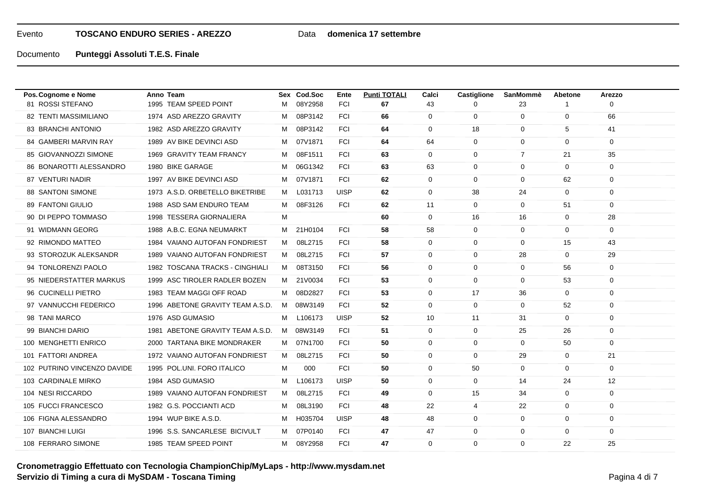## Data **domenica 17 settembre**

| Pos. Cognome e Nome         | Anno Team                        |   | Sex Cod.Soc | Ente        | <b>Punti TOTALI</b> | Calci       | <b>Castiglione</b> | SanMommè       | Abetone        | Arezzo          |
|-----------------------------|----------------------------------|---|-------------|-------------|---------------------|-------------|--------------------|----------------|----------------|-----------------|
| 81 ROSSI STEFANO            | 1995 TEAM SPEED POINT            | м | 08Y2958     | <b>FCI</b>  | 67                  | 43          | 0                  | 23             |                | $\Omega$        |
| 82 TENTI MASSIMILIANO       | 1974 ASD AREZZO GRAVITY          | M | 08P3142     | <b>FCI</b>  | 66                  | 0           | $\mathbf 0$        | $\mathbf 0$    | 0              | 66              |
| 83 BRANCHI ANTONIO          | 1982 ASD AREZZO GRAVITY          | м | 08P3142     | <b>FCI</b>  | 64                  | $\mathbf 0$ | 18                 | $\mathbf 0$    | 5              | 41              |
| 84 GAMBERI MARVIN RAY       | 1989 AV BIKE DEVINCI ASD         | M | 07V1871     | <b>FCI</b>  | 64                  | 64          | $\mathbf 0$        | $\mathbf 0$    | $\mathbf 0$    | $\mathbf 0$     |
| 85 GIOVANNOZZI SIMONE       | 1969 GRAVITY TEAM FRANCY         | M | 08F1511     | <b>FCI</b>  | 63                  | $\mathbf 0$ | $\mathbf{0}$       | $\overline{7}$ | 21             | 35              |
| 86 BONAROTTI ALESSANDRO     | 1980 BIKE GARAGE                 | M | 06G1342     | <b>FCI</b>  | 63                  | 63          | $\Omega$           | 0              | $\mathbf{0}$   | $\mathbf 0$     |
| 87 VENTURI NADIR            | 1997 AV BIKE DEVINCI ASD         | М | 07V1871     | <b>FCI</b>  | 62                  | $\mathbf 0$ | $\mathbf{0}$       | $\mathbf 0$    | 62             | $\mathbf 0$     |
| <b>88 SANTONI SIMONE</b>    | 1973 A.S.D. ORBETELLO BIKETRIBE  | м | L031713     | <b>UISP</b> | 62                  | $\mathbf 0$ | 38                 | 24             | $\mathbf{0}$   | $\mathbf 0$     |
| 89 FANTONI GIULIO           | 1988 ASD SAM ENDURO TEAM         | M | 08F3126     | <b>FCI</b>  | 62                  | 11          | $\mathbf 0$        | $\mathbf 0$    | 51             | $\mathbf 0$     |
| 90 DI PEPPO TOMMASO         | 1998 TESSERA GIORNALIERA         | M |             |             | 60                  | $\mathbf 0$ | 16                 | 16             | $\mathbf{0}$   | 28              |
| 91 WIDMANN GEORG            | 1988 A.B.C. EGNA NEUMARKT        | M | 21H0104     | <b>FCI</b>  | 58                  | 58          | $\mathbf{0}$       | $\mathbf 0$    | $\mathbf 0$    | $\mathbf 0$     |
| 92 RIMONDO MATTEO           | 1984 VAIANO AUTOFAN FONDRIEST    | M | 08L2715     | <b>FCI</b>  | 58                  | $\mathbf 0$ | $\mathbf{0}$       | 0              | 15             | 43              |
| 93 STOROZUK ALEKSANDR       | 1989 VAIANO AUTOFAN FONDRIEST    | M | 08L2715     | <b>FCI</b>  | 57                  | $\mathbf 0$ | $\Omega$           | 28             | $\overline{0}$ | 29              |
| 94 TONLORENZI PAOLO         | 1982 TOSCANA TRACKS - CINGHIALI  | M | 08T3150     | <b>FCI</b>  | 56                  | $\mathbf 0$ | $\Omega$           | $\mathbf 0$    | 56             | $\mathbf 0$     |
| 95 NIEDERSTATTER MARKUS     | 1999 ASC TIROLER RADLER BOZEN    | M | 21V0034     | <b>FCI</b>  | 53                  | $\mathbf 0$ | $\mathbf 0$        | $\mathbf 0$    | 53             | $\mathbf 0$     |
| 96 CUCINELLI PIETRO         | 1983 TEAM MAGGI OFF ROAD         | M | 08D2827     | FCI         | 53                  | $\mathbf 0$ | 17                 | 36             | $\overline{0}$ | $\mathbf 0$     |
| 97 VANNUCCHI FEDERICO       | 1996 ABETONE GRAVITY TEAM A.S.D. | M | 08W3149     | <b>FCI</b>  | 52                  | $\mathbf 0$ | $\mathbf{0}$       | 0              | 52             | $\mathbf 0$     |
| 98 TANI MARCO               | 1976 ASD GUMASIO                 | M | L106173     | <b>UISP</b> | 52                  | 10          | 11                 | 31             | $\mathbf 0$    | $\mathbf 0$     |
| 99 BIANCHI DARIO            | 1981 ABETONE GRAVITY TEAM A.S.D. | M | 08W3149     | <b>FCI</b>  | 51                  | $\mathbf 0$ | $\mathbf{0}$       | 25             | 26             | $\mathbf 0$     |
| 100 MENGHETTI ENRICO        | 2000 TARTANA BIKE MONDRAKER      | M | 07N1700     | <b>FCI</b>  | 50                  | $\mathbf 0$ | $\Omega$           | $\Omega$       | 50             | $\mathbf 0$     |
| 101 FATTORI ANDREA          | 1972 VAIANO AUTOFAN FONDRIEST    | M | 08L2715     | <b>FCI</b>  | 50                  | $\mathbf 0$ | $\mathbf 0$        | 29             | $\mathbf 0$    | 21              |
| 102 PUTRINO VINCENZO DAVIDE | 1995 POL.UNI, FORO ITALICO       | M | 000         | <b>FCI</b>  | 50                  | $\mathbf 0$ | 50                 | $\mathbf 0$    | $\mathbf 0$    | $\mathbf 0$     |
| 103 CARDINALE MIRKO         | 1984 ASD GUMASIO                 | M | L106173     | <b>UISP</b> | 50                  | $\mathbf 0$ | $\Omega$           | 14             | 24             | 12 <sup>2</sup> |
| 104 NESI RICCARDO           | 1989 VAIANO AUTOFAN FONDRIEST    | M | 08L2715     | <b>FCI</b>  | 49                  | $\mathbf 0$ | 15                 | 34             | $\mathbf 0$    | $\mathbf 0$     |
| 105 FUCCI FRANCESCO         | 1982 G.S. POCCIANTI ACD          | M | 08L3190     | <b>FCI</b>  | 48                  | 22          | 4                  | 22             | $\overline{0}$ | $\mathbf 0$     |
| 106 FIGNA ALESSANDRO        | 1994 WUP BIKE A.S.D.             | М | H035704     | <b>UISP</b> | 48                  | 48          | $\mathbf 0$        | 0              | $\mathbf 0$    | $\mathbf 0$     |
| 107 BIANCHI LUIGI           | 1996 S.S. SANCARLESE BICIVULT    | м | 07P0140     | <b>FCI</b>  | 47                  | 47          | $\Omega$           | 0              | $\mathbf 0$    | $\mathbf 0$     |
| 108 FERRARO SIMONE          | 1985 TEAM SPEED POINT            | M | 08Y2958     | <b>FCI</b>  | 47                  | $\mathbf 0$ | $\Omega$           | $\Omega$       | 22             | 25              |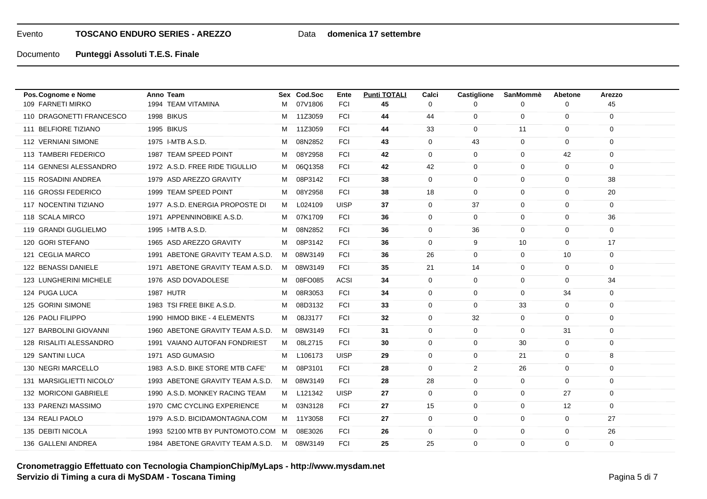## Data **domenica 17 settembre**

| Pos. Cognome e Nome      | Anno Team                         |   | Sex Cod.Soc | Ente        | <b>Punti TOTALI</b> | Calci       | <b>Castiglione</b> | <b>SanMommè</b> | Abetone        | Arezzo      |
|--------------------------|-----------------------------------|---|-------------|-------------|---------------------|-------------|--------------------|-----------------|----------------|-------------|
| 109 FARNETI MIRKO        | 1994 TEAM VITAMINA                | м | 07V1806     | <b>FCI</b>  | 45                  | $\Omega$    | $\Omega$           | $\Omega$        | $\mathbf 0$    | 45          |
| 110 DRAGONETTI FRANCESCO | 1998 BIKUS                        | M | 11Z3059     | <b>FCI</b>  | 44                  | 44          | $\mathbf 0$        | $\mathbf 0$     | 0              | $\mathbf 0$ |
| 111 BELFIORE TIZIANO     | 1995 BIKUS                        | м | 11Z3059     | <b>FCI</b>  | 44                  | 33          | $\mathbf 0$        | 11              | $\mathbf 0$    | $\mathbf 0$ |
| 112 VERNIANI SIMONE      | 1975 I-MTB A.S.D.                 | M | 08N2852     | <b>FCI</b>  | 43                  | $\mathbf 0$ | 43                 | $\mathbf 0$     | $\mathbf 0$    | $\mathbf 0$ |
| 113 TAMBERI FEDERICO     | 1987 TEAM SPEED POINT             | м | 08Y2958     | <b>FCI</b>  | 42                  | $\mathbf 0$ | $\mathbf{0}$       | $\mathbf 0$     | 42             | $\mathbf 0$ |
| 114 GENNESI ALESSANDRO   | 1972 A.S.D. FREE RIDE TIGULLIO    | M | 06Q1358     | <b>FCI</b>  | 42                  | 42          | 0                  | 0               | $\mathbf{0}$   | $\mathbf 0$ |
| 115 ROSADINI ANDREA      | 1979 ASD AREZZO GRAVITY           | M | 08P3142     | <b>FCI</b>  | 38                  | $\mathbf 0$ | $\mathbf{0}$       | $\mathbf 0$     | $\mathbf 0$    | 38          |
| 116 GROSSI FEDERICO      | 1999 TEAM SPEED POINT             | М | 08Y2958     | <b>FCI</b>  | 38                  | 18          | $\mathbf 0$        | $\mathbf 0$     | $\mathbf 0$    | 20          |
| 117 NOCENTINI TIZIANO    | 1977 A.S.D. ENERGIA PROPOSTE DI   | M | L024109     | <b>UISP</b> | 37                  | $\mathbf 0$ | 37                 | $\mathbf 0$     | $\mathbf 0$    | $\mathbf 0$ |
| 118 SCALA MIRCO          | 1971 APPENNINOBIKE A.S.D.         | M | 07K1709     | <b>FCI</b>  | 36                  | $\mathbf 0$ | $\mathbf 0$        | $\mathbf 0$     | $\mathbf 0$    | 36          |
| 119 GRANDI GUGLIELMO     | 1995 I-MTB A.S.D.                 | M | 08N2852     | <b>FCI</b>  | 36                  | $\mathbf 0$ | 36                 | $\mathbf 0$     | $\mathbf 0$    | $\mathbf 0$ |
| 120 GORI STEFANO         | 1965 ASD AREZZO GRAVITY           | M | 08P3142     | <b>FCI</b>  | 36                  | $\mathbf 0$ | 9                  | 10              | $\overline{0}$ | 17          |
| 121 CEGLIA MARCO         | 1991 ABETONE GRAVITY TEAM A.S.D.  | M | 08W3149     | FCI         | 36                  | 26          | $\Omega$           | 0               | 10             | $\mathbf 0$ |
| 122 BENASSI DANIELE      | 1971 ABETONE GRAVITY TEAM A.S.D.  | M | 08W3149     | <b>FCI</b>  | 35                  | 21          | 14                 | $\mathbf 0$     | $\mathbf 0$    | $\mathbf 0$ |
| 123 LUNGHERINI MICHELE   | 1976 ASD DOVADOLESE               | м | 08FO085     | <b>ACSI</b> | 34                  | $\mathbf 0$ | $\mathbf 0$        | $\mathbf 0$     | $\mathbf 0$    | 34          |
| 124 PUGA LUCA            | <b>1987 HUTR</b>                  | M | 08R3053     | <b>FCI</b>  | 34                  | $\mathbf 0$ | $\Omega$           | $\Omega$        | 34             | $\mathbf 0$ |
| 125 GORINI SIMONE        | 1983 TSI FREE BIKE A.S.D.         | M | 08D3132     | <b>FCI</b>  | 33                  | $\mathbf 0$ | $\mathbf{0}$       | 33              | $\mathbf 0$    | $\mathbf 0$ |
| 126 PAOLI FILIPPO        | 1990 HIMOD BIKE - 4 ELEMENTS      | M | 08J3177     | <b>FCI</b>  | 32                  | $\mathbf 0$ | 32                 | 0               | 0              | $\mathbf 0$ |
| 127 BARBOLINI GIOVANNI   | 1960 ABETONE GRAVITY TEAM A.S.D.  | M | 08W3149     | <b>FCI</b>  | 31                  | $\mathbf 0$ | $\mathbf{0}$       | $\mathbf 0$     | 31             | $\mathbf 0$ |
| 128 RISALITI ALESSANDRO  | 1991 VAIANO AUTOFAN FONDRIEST     | M | 08L2715     | <b>FCI</b>  | 30                  | $\mathbf 0$ | $\Omega$           | 30              | $\overline{0}$ | $\mathbf 0$ |
| 129 SANTINI LUCA         | 1971 ASD GUMASIO                  | м | L106173     | <b>UISP</b> | 29                  | $\mathbf 0$ | $\mathbf 0$        | 21              | $\mathbf 0$    | 8           |
| 130 NEGRI MARCELLO       | 1983 A.S.D. BIKE STORE MTB CAFE'  | M | 08P3101     | <b>FCI</b>  | 28                  | $\mathbf 0$ | $\overline{2}$     | 26              | $\mathbf 0$    | $\mathbf 0$ |
| 131 MARSIGLIETTI NICOLO' | 1993 ABETONE GRAVITY TEAM A.S.D.  | M | 08W3149     | <b>FCI</b>  | 28                  | 28          | $\Omega$           | $\Omega$        | $\mathbf 0$    | $\mathbf 0$ |
| 132 MORICONI GABRIELE    | 1990 A.S.D. MONKEY RACING TEAM    |   | M L121342   | <b>UISP</b> | 27                  | $\mathbf 0$ | $\mathbf{0}$       | 0               | 27             | $\mathbf 0$ |
| 133 PARENZI MASSIMO      | 1970 CMC CYCLING EXPERIENCE       | M | 03N3128     | <b>FCI</b>  | 27                  | 15          | 0                  | 0               | 12             | $\mathbf 0$ |
| 134 REALI PAOLO          | 1979 A.S.D. BICIDAMONTAGNA.COM    |   | M 11Y3058   | <b>FCI</b>  | 27                  | $\mathbf 0$ | $\mathbf{0}$       | 0               | $\mathbf 0$    | 27          |
| 135 DEBITI NICOLA        | 1993 52100 MTB BY PUNTOMOTO.COM M |   | 08E3026     | FCI         | 26                  | $\mathbf 0$ | $\mathbf 0$        | $\Omega$        | $\mathbf 0$    | 26          |
| 136 GALLENI ANDREA       | 1984 ABETONE GRAVITY TEAM A.S.D.  | M | 08W3149     | <b>FCI</b>  | 25                  | 25          | $\Omega$           | $\Omega$        | $\mathbf 0$    | $\mathbf 0$ |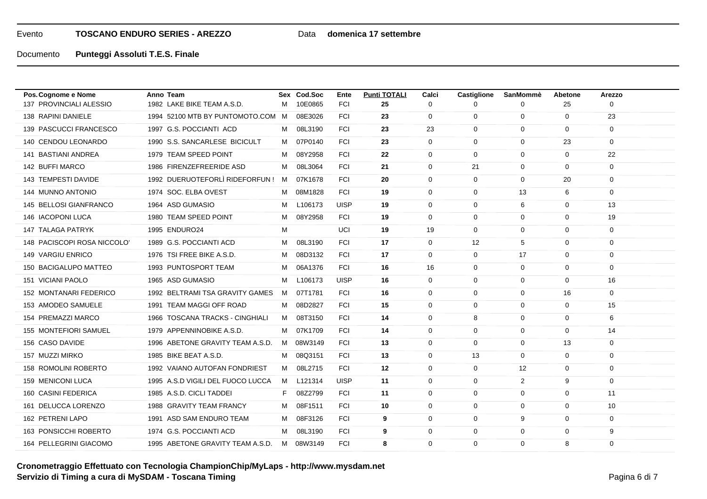## Data **domenica 17 settembre**

| Pos. Cognome e Nome         | Anno Team                         |    | Sex Cod.Soc | Ente        | <b>Punti TOTALI</b> | Calci        | <b>Castiglione</b> | SanMommè     | Abetone      | Arezzo      |
|-----------------------------|-----------------------------------|----|-------------|-------------|---------------------|--------------|--------------------|--------------|--------------|-------------|
| 137 PROVINCIALI ALESSIO     | 1982 LAKE BIKE TEAM A.S.D.        | M  | 10E0865     | <b>FCI</b>  | 25                  | $\mathbf{0}$ | <sup>0</sup>       | 0            | 25           | $\Omega$    |
| 138 RAPINI DANIELE          | 1994 52100 MTB BY PUNTOMOTO.COM M |    | 08E3026     | <b>FCI</b>  | 23                  | $\mathbf{0}$ | $\mathbf 0$        | 0            | 0            | 23          |
| 139 PASCUCCI FRANCESCO      | 1997 G.S. POCCIANTI ACD           | м  | 08L3190     | <b>FCI</b>  | 23                  | 23           | $\mathbf 0$        | $\mathbf 0$  | 0            | 0           |
| 140 CENDOU LEONARDO         | 1990 S.S. SANCARLESE BICICULT     |    | M 07P0140   | <b>FCI</b>  | 23                  | $\mathbf 0$  | $\mathbf 0$        | $\mathbf 0$  | 23           | $\mathbf 0$ |
| 141 BASTIANI ANDREA         | 1979 TEAM SPEED POINT             | M  | 08Y2958     | <b>FCI</b>  | 22                  | $\mathbf 0$  | $\mathbf 0$        | $\mathbf{0}$ | $\mathbf 0$  | 22          |
| 142 BUFFI MARCO             | 1986 FIRENZEFREERIDE ASD          | м  | 08L3064     | <b>FCI</b>  | 21                  | $\Omega$     | 21                 | $\mathbf 0$  | $\mathbf 0$  | $\mathbf 0$ |
| 143 TEMPESTI DAVIDE         | 1992 DUERUOTEFORLÌ RIDEFORFUN !   | M  | 07K1678     | <b>FCI</b>  | 20                  | $\mathbf{0}$ | $\mathbf 0$        | $\mathbf 0$  | 20           | 0           |
| 144 MUNNO ANTONIO           | 1974 SOC. ELBA OVEST              | M  | 08M1828     | FCI         | 19                  | $\mathbf{0}$ | $\mathbf 0$        | 13           | 6            | $\mathbf 0$ |
| 145 BELLOSI GIANFRANCO      | 1964 ASD GUMASIO                  | M  | L106173     | <b>UISP</b> | 19                  | $\mathbf{0}$ | $\mathbf{0}$       | 6            | 0            | 13          |
| 146 IACOPONI LUCA           | 1980 TEAM SPEED POINT             | м  | 08Y2958     | <b>FCI</b>  | 19                  | $\mathbf{0}$ | 0                  | $\mathbf 0$  | 0            | 19          |
| <b>147 TALAGA PATRYK</b>    | 1995 ENDURO24                     | м  |             | UCI         | 19                  | 19           | 0                  | $\mathbf 0$  | $\mathbf 0$  | $\mathbf 0$ |
| 148 PACISCOPI ROSA NICCOLO' | 1989 G.S. POCCIANTI ACD           | M  | 08L3190     | <b>FCI</b>  | 17                  | $\mathbf 0$  | 12                 | 5            | $\mathbf 0$  | $\mathbf 0$ |
| 149 VARGIU ENRICO           | 1976 TSI FREE BIKE A.S.D.         | M  | 08D3132     | <b>FCI</b>  | 17                  | $\mathbf 0$  | $\mathbf 0$        | 17           | 0            | $\mathbf 0$ |
| 150 BACIGALUPO MATTEO       | 1993 PUNTOSPORT TEAM              | M  | 06A1376     | <b>FCI</b>  | 16                  | 16           | $\mathbf{0}$       | $\mathbf 0$  | $\mathbf 0$  | $\Omega$    |
| 151 VICIANI PAOLO           | 1965 ASD GUMASIO                  | M  | L106173     | <b>UISP</b> | 16                  | $\mathbf{0}$ | $\mathbf 0$        | $\mathbf 0$  | $\mathbf 0$  | 16          |
| 152 MONTANARI FEDERICO      | 1992 BELTRAMI TSA GRAVITY GAMES   | M  | 07T1781     | <b>FCI</b>  | 16                  | $\mathbf 0$  | 0                  | 0            | 16           | $\mathbf 0$ |
| 153 AMODEO SAMUELE          | 1991 TEAM MAGGI OFF ROAD          | м  | 08D2827     | <b>FCI</b>  | 15                  | $\Omega$     | 0                  | $\Omega$     | $\mathbf 0$  | 15          |
| 154 PREMAZZI MARCO          | 1966 TOSCANA TRACKS - CINGHIALI   | M  | 08T3150     | <b>FCI</b>  | 14                  | $\mathbf 0$  | 8                  | $\mathbf{0}$ | $\mathbf 0$  | 6           |
| 155 MONTEFIORI SAMUEL       | 1979 APPENNINOBIKE A.S.D.         | M  | 07K1709     | FCI         | 14                  | $\mathbf 0$  | $\mathbf 0$        | $\mathbf 0$  | 0            | 14          |
| 156 CASO DAVIDE             | 1996 ABETONE GRAVITY TEAM A.S.D.  | M  | 08W3149     | <b>FCI</b>  | 13                  | $\mathbf{0}$ | 0                  | $\mathbf 0$  | 13           | 0           |
| 157 MUZZI MIRKO             | 1985 BIKE BEAT A.S.D.             | м  | 08Q3151     | <b>FCI</b>  | 13                  | $\mathbf 0$  | 13                 | $\mathbf{0}$ | $\mathbf 0$  | $\mathbf 0$ |
| 158 ROMOLINI ROBERTO        | 1992 VAIANO AUTOFAN FONDRIEST     | M  | 08L2715     | <b>FCI</b>  | 12                  | $\Omega$     | $\mathbf 0$        | 12           | $\mathbf 0$  | $\mathbf 0$ |
| 159 MENICONI LUCA           | 1995 A.S.D VIGILI DEL FUOCO LUCCA |    | M L121314   | <b>UISP</b> | 11                  | $\mathbf{0}$ | 0                  | 2            | 9            | 0           |
| 160 CASINI FEDERICA         | 1985 A.S.D. CICLI TADDEI          | F. | 08Z2799     | <b>FCI</b>  | 11                  | $\mathbf 0$  | $\mathbf 0$        | $\mathbf 0$  | $\mathbf 0$  | 11          |
| 161 DELUCCA LORENZO         | 1988 GRAVITY TEAM FRANCY          | M  | 08F1511     | <b>FCI</b>  | 10                  | $\Omega$     | 0                  | $\mathbf 0$  | $\mathbf{0}$ | 10          |
| 162 PETRENI LAPO            | 1991 ASD SAM ENDURO TEAM          | м  | 08F3126     | <b>FCI</b>  | 9                   | $\mathbf 0$  | $\mathbf 0$        | 9            | $\mathbf 0$  | 0           |
| 163 PONSICCHI ROBERTO       | 1974 G.S. POCCIANTI ACD           | м  | 08L3190     | <b>FCI</b>  | 9                   | $\mathbf{0}$ | $\mathbf 0$        | $\mathbf 0$  | $\mathbf 0$  | 9           |
| 164 PELLEGRINI GIACOMO      | 1995 ABETONE GRAVITY TEAM A.S.D.  |    | M 08W3149   | <b>FCI</b>  | 8                   | $\Omega$     | $\mathbf 0$        | $\mathbf 0$  | 8            | $\mathbf 0$ |